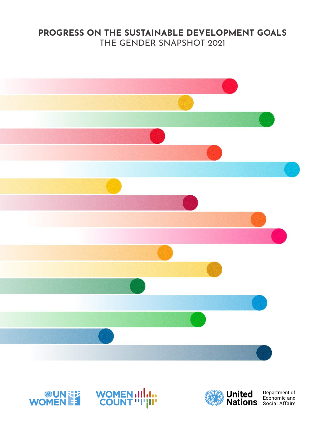## **PROGRESS ON THE SUSTAINABLE DEVELOPMENT GOALS** THE GENDER SNAPSHOT 2021





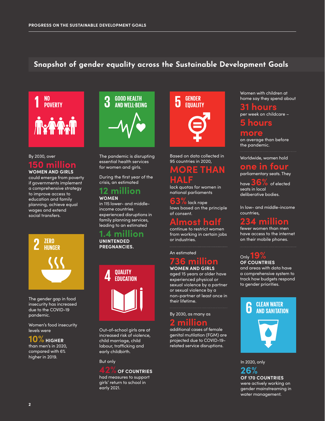## **Snapshot of gender equality across the Sustainable Development Goals**



## By 2030, over **150 million**

**WOMEN AND GIRLS** could emerge from poverty if governments implement a comprehensive strategy to improve access to education and family planning, achieve equal wages and extend social transfers.



The gender gap in food insecurity has increased due to the COVID-19 pandemic.

Women's food insecurity levels were

 $\mathbf{10\%}$  ніgher

than men's in 2020, compared with 6% higher in 2019.



The pandemic is disrupting essential health services for women and girls.

During the first year of the crisis, an estimated

#### **12 million WOMEN**

in 115 lower- and middleincome countries experienced disruptions in family planning services, leading to an estimated

**1.4 million UNINTENDED PREGNANCIES.**



Out-of-school girls are at increased risk of violence, child marriage, child labour, trafficking and early childbirth.

#### But only



had measures to support girls' return to school in early 2021.



Based on data collected in 95 countries in 2020,

## **MORE THAN**

**HALF** lack quotas for women in national parliaments

**63%** lack rape laws based on the principle of consent.

## **Almost half**

continue to restrict women from working in certain jobs or industries.

An estimated

## **736 million WOMEN AND GIRLS**

aged 15 years or older have experienced physical or sexual violence by a partner or sexual violence by a non-partner at least once in their lifetime.

By 2030, as many as **2 million**

additional cases of female genital mutilation (FGM) are projected due to COVID-19 related service disruptions.

Women with children at home say they spend about

#### **31 hours** per week on childcare –

## **5 hours**

#### **more**

on average than before the pandemic.

Worldwide, women hold

#### **one in four** parliamentary seats. They

have **36%** of elected seats in local deliberative bodies.

In low- and middle-income countries,

## **234 million**

fewer women than men have access to the internet on their mobile phones.

## Only **19% OF COUNTRIES**

and areas with data have a comprehensive system to track how budgets respond to gender priorities.



In 2020, only

**26% OF 170 COUNTRIES** were actively working on gender mainstreaming in water management.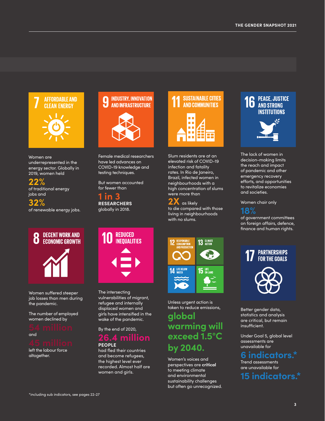

#### Women are underrepresented in the energy sector. Globally in 2019, women held

## **22%**

of traditional energy jobs and

**32%** of renewable energy jobs.

## **DECENT WORK AND** O **ECONOMIC GROWTH**

Women suffered steeper job losses than men during the pandemic.

The number of employed women declined by



left the labour force altogether.



Female medical researchers have led advances on COVID-19 knowledge and testing techniques.

But women accounted for fewer than

**1 in 3 RESEARCHERS** globally in 2018.



The intersecting vulnerabilities of migrant, refugee and internally displaced women and girls have intensified in the wake of the pandemic.

## By the end of 2020, **26.4 million PEOPLE**

had fled their countries and become refugees, the highest level ever recorded. Almost half are women and girls.



Slum residents are at an elevated risk of COVID-19 infection and fatality rates. In Rio de Janeiro, Brazil, infected women in neighbourhoods with a high concentration of slums were more than

**2X** as likely to die compared with those living in neighbourhoods with no slums.



Unless urgent action is taken to reduce emissions,

## **global warming will exceed 1.5°C by 2040.**

Women's voices and perspectives are **critical**  to meeting climate and environmental sustainability challenges but often go unrecognized.

# **16** PEACE, JUSTICE **AND STRONG INSTITUTIONS**

The lack of women in decision-making limits the reach and impact of pandemic and other emergency recovery efforts, and opportunities to revitalize economies and societies.

Women chair only



of government committees on foreign affairs, defence, finance and human rights.

# **PARTNERSHIPS<br>For the Goals**



Better gender data, statistics and analysis are critical, but remain insufficient.

Under Goal 5, global level assessments are unavailable for

## **6 indicators.\***

Trend assessments are unavailable for

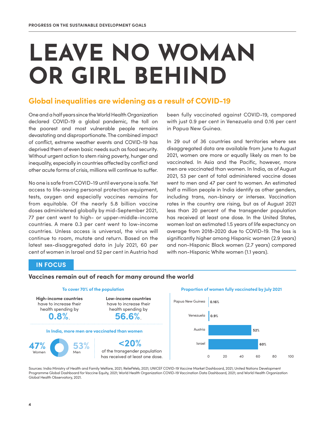# **LEAVE NO WOMAN OR GIRL BEHIND**

## **Global inequalities are widening as a result of COVID-19**

One and a half years since the World Health Organization declared COVID-19 a global pandemic, the toll on the poorest and most vulnerable people remains devastating and disproportionate. The combined impact of conflict, extreme weather events and COVID-19 has deprived them of even basic needs such as food security. Without urgent action to stem rising poverty, hunger and inequality, especially in countries affected by conflict and other acute forms of crisis, millions will continue to suffer.

No one is safe from COVID-19 until everyone is safe. Yet access to life-saving personal protection equipment, tests, oxygen and especially vaccines remains far from equitable. Of the nearly 5.8 billion vaccine doses administered globally by mid-September 2021, 77 per cent went to high- or upper-middle-income countries. A mere 0.3 per cent went to low-income countries. Unless access is universal, the virus will continue to roam, mutate and return. Based on the latest sex-disaggregated data in July 2021, 60 per cent of women in Israel and 52 per cent in Austria had

been fully vaccinated against COVID-19, compared with just 0.9 per cent in Venezuela and 0.16 per cent in Papua New Guinea.

In 29 out of 36 countries and territories where sex disaggregated data are available from June to August 2021, women are more or equally likely as men to be vaccinated. In Asia and the Pacific, however, more men are vaccinated than women. In India, as of August 2021, 53 per cent of total administered vaccine doses went to men and 47 per cent to women. An estimated half a million people in India identify as other genders, including trans, non-binary or intersex. Vaccination rates in the country are rising, but as of August 2021 less than 20 percent of the transgender population has received at least one dose. In the United States, women lost an estimated 1.5 years of life expectancy on average from 2018-2020 due to COVID-19. The loss is significantly higher among Hispanic women (2.9 years) and non-Hispanic Black women (2.7 years) compared with non-Hispanic White women (1.1 years).

## **IN FOCUS**

#### **Vaccines remain out of reach for many around the world**



Sources: India Ministry of Health and Family Welfare, 2021; ReliefWeb, 2021; UNICEF COVID-19 Vaccine Market Dashboard, 2021; United Nations Development Programme Global Dashboard for Vaccine Equity, 2021; World Health Organization COVID-19 Vaccination Data Dashboard, 2021; and World Health Organization Global Health Observatory, 2021.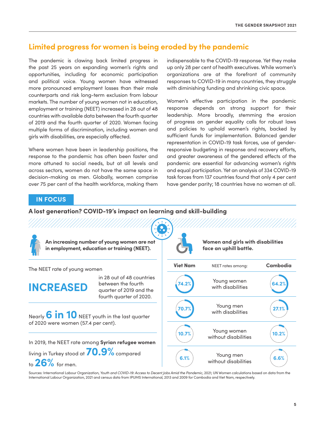## **Limited progress for women is being eroded by the pandemic**

The pandemic is clawing back limited progress in the past 25 years on expanding women's rights and opportunities, including for economic participation and political voice. Young women have witnessed more pronounced employment losses than their male counterparts and risk long-term exclusion from labour markets. The number of young women not in education, employment or training (NEET) increased in 28 out of 48 countries with available data between the fourth quarter of 2019 and the fourth quarter of 2020. Women facing multiple forms of discrimination, including women and girls with disabilities, are especially affected.

Where women have been in leadership positions, the response to the pandemic has often been faster and more attuned to social needs, but at all levels and across sectors, women do not have the same space in decision-making as men. Globally, women comprise over 75 per cent of the health workforce, making them indispensable to the COVID-19 response. Yet they make up only 28 per cent of health executives. While women's organizations are at the forefront of community responses to COVID-19 in many countries, they struggle with diminishing funding and shrinking civic space.

Women's effective participation in the pandemic response depends on strong support for their leadership. More broadly, stemming the erosion of progress on gender equality calls for robust laws and policies to uphold women's rights, backed by sufficient funds for implementation. Balanced gender representation in COVID-19 task forces, use of genderresponsive budgeting in response and recovery efforts, and greater awareness of the gendered effects of the pandemic are essential for advancing women's rights and equal participation. Yet an analysis of 334 COVID-19 task forces from 137 countries found that only 4 per cent have gender parity; 18 countries have no women at all.

## **IN FOCUS**

### **A lost generation? COVID-19's impact on learning and skill-building**

|                                                                   | An increasing number of young women are not<br>in employment, education or training (NEET).           |                 | Women and girls with disabilities<br>face an uphill battle. |          |  |  |
|-------------------------------------------------------------------|-------------------------------------------------------------------------------------------------------|-----------------|-------------------------------------------------------------|----------|--|--|
| The NEET rate of young women                                      |                                                                                                       | <b>Viet Nam</b> | NEET rates among:                                           | Cambodia |  |  |
| <b>INCREASED</b>                                                  | in 28 out of 48 countries<br>between the fourth<br>quarter of 2019 and the<br>fourth quarter of 2020. |                 | Young women<br>with disabilities                            |          |  |  |
| Nearly <b>6 in 10</b> NEET youth in the last quarter              |                                                                                                       | 70.7%           | Young men<br>with disabilities                              | 27.1%    |  |  |
| of 2020 were women (57.4 per cent).                               | In 2019, the NEET rate among Syrian refugee women                                                     | 10.7%           | Young women<br>without disabilities                         | 10.2%    |  |  |
| living in Turkey stood at $70.9\%$ compared<br>to $26\%$ for men. |                                                                                                       | 6.1%            | Young men<br>without disabilities                           | 6.6%     |  |  |

Sources: International Labour Organization, *Youth and COVID-19: Access to Decent Jobs Amid the Pandemic*, 2021; UN Women calculations based on data from the International Labour Organization, 2021 and census data from IPUMS International, 2013 and 2009 for Cambodia and Viet Nam, respectively.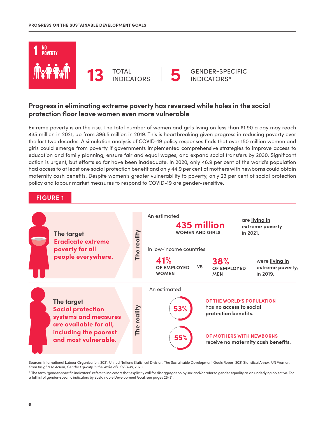

## **Progress in eliminating extreme poverty has reversed while holes in the social protection floor leave women even more vulnerable**

Extreme poverty is on the rise. The total number of women and girls living on less than \$1.90 a day may reach 435 million in 2021, up from 398.5 million in 2019. This is heartbreaking given progress in reducing poverty over the last two decades. A simulation analysis of COVID-19 policy responses finds that over 150 million women and girls could emerge from poverty if governments implemented comprehensive strategies to improve access to education and family planning, ensure fair and equal wages, and expand social transfers by 2030. Significant action is urgent, but efforts so far have been inadequate. In 2020, only 46.9 per cent of the world's population had access to at least one social protection benefit and only 44.9 per cent of mothers with newborns could obtain maternity cash benefits. Despite women's greater vulnerability to poverty, only 23 per cent of social protection policy and labour market measures to respond to COVID-19 are gender-sensitive.

## **FIGURE 1**



Sources: International Labour Organization, 2021; United Nations Statistical Division, The Sustainable Development Goals Report 2021 Statistical Annex; UN Women, *From Insights to Action, Gender Equality in the Wake of COVID-19*, 2020.

\* The term "gender-specific indicators" refers to indicators that explicitly call for disaggregation by sex and/or refer to gender equality as an underlying objective. For a full list of gender-specific indicators by Sustainable Development Goal, see pages 28-31.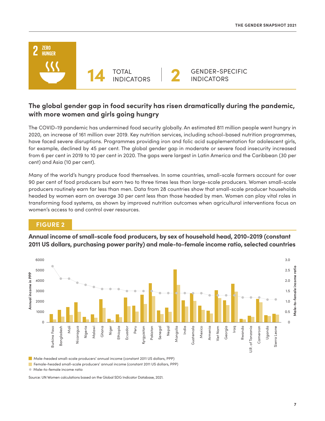

## **The global gender gap in food security has risen dramatically during the pandemic, with more women and girls going hungry**

The COVID-19 pandemic has undermined food security globally. An estimated 811 million people went hungry in 2020, an increase of 161 million over 2019. Key nutrition services, including school-based nutrition programmes, have faced severe disruptions. Programmes providing iron and folic acid supplementation for adolescent girls, for example, declined by 45 per cent. The global gender gap in moderate or severe food insecurity increased from 6 per cent in 2019 to 10 per cent in 2020. The gaps were largest in Latin America and the Caribbean (30 per cent) and Asia (10 per cent).

Many of the world's hungry produce food themselves. In some countries, small-scale farmers account for over 90 per cent of food producers but earn two to three times less than large-scale producers. Women small-scale producers routinely earn far less than men. Data from 28 countries show that small-scale producer households headed by women earn on average 30 per cent less than those headed by men. Women can play vital roles in transforming food systems, as shown by improved nutrition outcomes when agricultural interventions focus on women's access to and control over resources.

## **FIGURE 2**



**Annual income of small-scale food producers, by sex of household head, 2010-2019 (constant 2011 US dollars, purchasing power parity) and male-to-female income ratio, selected countries**

Male-headed small-scale producers' annual income (constant 2011 US dollars, PPP)

Female-headed small-scale producers' annual income (constant 2011 US dollars, PPP)

Male-to-female income ratio

Source: UN Women calculations based on the Global SDG Indicator Database, 2021.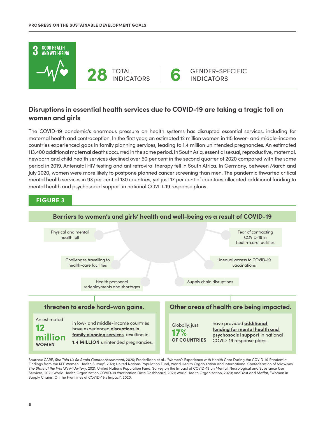

## **Disruptions in essential health services due to COVID-19 are taking a tragic toll on women and girls**

The COVID-19 pandemic's enormous pressure on health systems has disrupted essential services, including for maternal health and contraception. In the first year, an estimated 12 million women in 115 lower- and middle-income countries experienced gaps in family planning services, leading to 1.4 million unintended pregnancies. An estimated 113,400 additional maternal deaths occurred in the same period. In South Asia, essential sexual, reproductive, maternal, newborn and child health services declined over 50 per cent in the second quarter of 2020 compared with the same period in 2019. Antenatal HIV testing and antiretroviral therapy fell in South Africa. In Germany, between March and July 2020, women were more likely to postpone planned cancer screening than men. The pandemic thwarted critical mental health services in 93 per cent of 130 countries, yet just 17 per cent of countries allocated additional funding to mental health and psychosocial support in national COVID-19 response plans.



Sources: CARE, *She Told Us So Rapid Gender Assessment*, 2020; Frederiksen et al., "Women's Experience with Health Care During the COVID-19 Pandemic: Findings from the KFF Women' Health Survey", 2021; United Nations Population Fund, World Health Organization and International Confederation of Midwives, *The State of the World's Midwifery*, 2021; United Nations Population Fund, Survey on the Impact of COVID-19 on Mental, Neurological and Substance Use Services, 2021; World Health Organization COVID-19 Vaccination Data Dashboard, 2021; World Health Organization, 2020; and Yost and Moffat, "Women in Supply Chains: On the Frontlines of COVID-19's Impact", 2020.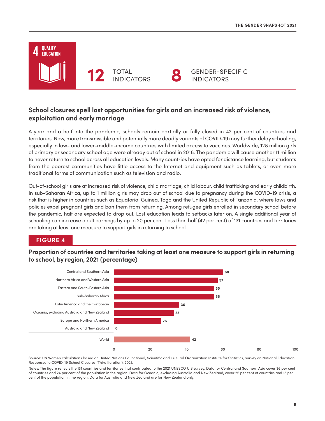## **OUALITY EDUCATION** GENDER-SPECIFIC TOTAL **12** INDICATORS **8** INDICATORS

## **School closures spell lost opportunities for girls and an increased risk of violence, exploitation and early marriage**

A year and a half into the pandemic, schools remain partially or fully closed in 42 per cent of countries and territories. New, more transmissible and potentially more deadly variants of COVID-19 may further delay schooling, especially in low- and lower-middle-income countries with limited access to vaccines. Worldwide, 128 million girls of primary or secondary school age were already out of school in 2018. The pandemic will cause another 11 million to never return to school across all education levels. Many countries have opted for distance learning, but students from the poorest communities have little access to the Internet and equipment such as tablets, or even more traditional forms of communication such as television and radio.

Out-of-school girls are at increased risk of violence, child marriage, child labour, child trafficking and early childbirth. In sub-Saharan Africa, up to 1 million girls may drop out of school due to pregnancy during the COVID-19 crisis, a risk that is higher in countries such as Equatorial Guinea, Togo and the United Republic of Tanzania, where laws and policies expel pregnant girls and ban them from returning. Among refugee girls enrolled in secondary school before the pandemic, half are expected to drop out. Lost education leads to setbacks later on. A single additional year of schooling can increase adult earnings by up to 20 per cent. Less than half (42 per cent) of 131 countries and territories are taking at least one measure to support girls in returning to school.

## **FIGURE 4**

**Proportion of countries and territories taking at least one measure to support girls in returning to school, by region, 2021 (percentage)**



Source: UN Women calculations based on United Nations Educational, Scientific and Cultural Organization Institute for Statistics, Survey on National Education Responses to COVID-19 School Closures (Third iteration), 2021.

Notes: The figure reflects the 131 countries and territories that contributed to the 2021 UNESCO UIS survey. Data for Central and Southern Asia cover 36 per cent of countries and 24 per cent of the population in the region. Data for Oceania, excluding Australia and New Zealand, cover 25 per cent of countries and 13 per cent of the population in the region. Data for Australia and New Zealand are for New Zealand only.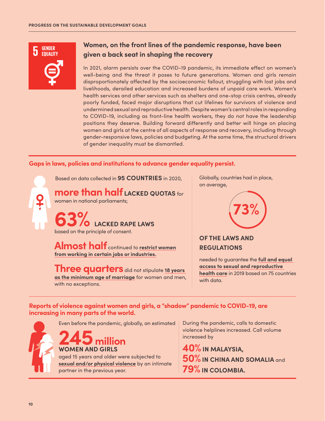

## **Women, on the front lines of the pandemic response, have been given a back seat in shaping the recovery**

In 2021, alarm persists over the COVID-19 pandemic, its immediate effect on women's well-being and the threat it poses to future generations. Women and girls remain disproportionately affected by the socioeconomic fallout, struggling with lost jobs and livelihoods, derailed education and increased burdens of unpaid care work. Women's health services and other services such as shelters and one-stop crisis centres, already poorly funded, faced major disruptions that cut lifelines for survivors of violence and undermined sexual and reproductive health. Despite women's central roles in responding to COVID-19, including as front-line health workers, they do not have the leadership positions they deserve. Building forward differently and better will hinge on placing women and girls at the centre of all aspects of response and recovery, including through gender-responsive laws, policies and budgeting. At the same time, the structural drivers of gender inequality must be dismantled.

## **Gaps in laws, policies and institutions to advance gender equality persist.**

Based on data collected in **95 COUNTRIES** in 2020,

**more than half LACKED QUOTAS** for women in national parliaments;

**63% LACKED RAPE LAWS** based on the principle of consent.

**Almost half** continued to **restrict women from working in certain jobs or industries.**

**Three quarters** did not stipulate **18 years as the minimum age of marriage** for women and men, with no exceptions.

Globally, countries had in place, on average,



## **OF THE LAWS AND REGULATIONS**

needed to guarantee the **full and equal access to sexual and reproductive health care** in 2019 based on 75 countries with data.

## **Reports of violence against women and girls, a "shadow" pandemic to COVID-19, are increasing in many parts of the world.**

Even before the pandemic, globally, an estimated

**245 million WOMEN AND GIRLS** aged 15 years and older were subjected to **sexual and/or physical violence** by an intimate partner in the previous year.

During the pandemic, calls to domestic violence helplines increased. Call volume increased by

**40% IN MALAYSIA, 50%IN CHINA AND SOMALIA** and **79% IN COLOMBIA.**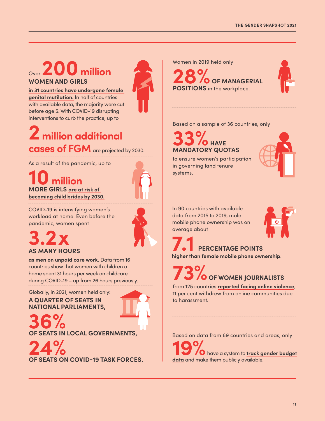# Over **200 million WOMEN AND GIRLS**

**in 31 countries have undergone female genital mutilation.** In half of countries with available data, the majority were cut before age 5. With COVID-19 disrupting interventions to curb the practice, up to



# **2 million additional cases of FGM** are projected by 2030.

As a result of the pandemic, up to

**10 million MORE GIRLS are at risk of becoming child brides by 2030.**



COVID-19 is intensifying women's workload at home. Even before the pandemic, women spent

# **3.2x AS MANY HOURS**

**as men on unpaid care work.** Data from 16 countries show that women with children at home spent 31 hours per week on childcare during COVID-19 – up from 26 hours previously.

## Globally, in 2021, women held only: **A QUARTER OF SEATS IN NATIONAL PARLIAMENTS,**

**36% OF SEATS IN LOCAL GOVERNMENTS,**

**24% OF SEATS ON COVID-19 TASK FORCES.**

Women in 2019 held only

**28 OF MANAGERIAL POSITIONS** in the workplace.



Based on a sample of 36 countries, only

# **33% HAVE MANDATORY QUOTAS**

to ensure women's participation in governing land tenure systems.



In 90 countries with available data from 2015 to 2019, male mobile phone ownership was on average about



# **7.1 PERCENTAGE POINTS**

**higher than female mobile phone ownership**.

# **73 OF WOMEN JOURNALISTS**

from 125 countries **reported facing online violence**; 11 per cent withdrew from online communities due to harassment.

Based on data from 69 countries and areas, only

**19%**have a system to **track gender budget data** and make them publicly available.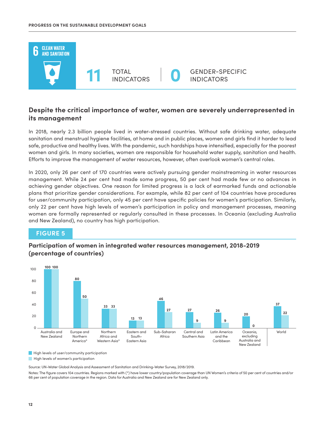

## **Despite the critical importance of water, women are severely underrepresented in its management**

In 2018, nearly 2.3 billion people lived in water-stressed countries. Without safe drinking water, adequate sanitation and menstrual hygiene facilities, at home and in public places, women and girls find it harder to lead safe, productive and healthy lives. With the pandemic, such hardships have intensified, especially for the poorest women and girls. In many societies, women are responsible for household water supply, sanitation and health. Efforts to improve the management of water resources, however, often overlook women's central roles.

In 2020, only 26 per cent of 170 countries were actively pursuing gender mainstreaming in water resources management. While 24 per cent had made some progress, 50 per cent had made few or no advances in achieving gender objectives. One reason for limited progress is a lack of earmarked funds and actionable plans that prioritize gender considerations. For example, while 82 per cent of 104 countries have procedures for user/community participation, only 45 per cent have specific policies for women's participation. Similarly, only 22 per cent have high levels of women's participation in policy and management processes, meaning women are formally represented or regularly consulted in these processes. In Oceania (excluding Australia and New Zealand), no country has high participation.

## **FIGURE 5**

## **Participation of women in integrated water resources management, 2018-2019 (percentage of countries)**



High levels of user/community participation

High levels of women's participation

Source: UN-Water Global Analysis and Assessment of Sanitation and Drinking-Water Survey, 2018/2019.

Notes: The figure covers 104 countries. Regions marked with (\*) have lower country/population coverage than UN Women's criteria of 50 per cent of countries and/or 66 per cent of population coverage in the region. Data for Australia and New Zealand are for New Zealand only.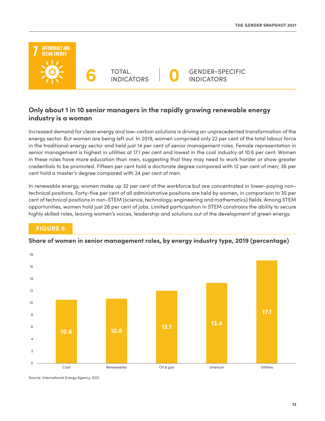

## **Only about 1 in 10 senior managers in the rapidly growing renewable energy industry is a woman**

Increased demand for clean energy and low-carbon solutions is driving an unprecedented transformation of the energy sector. But women are being left out. In 2019, women comprised only 22 per cent of the total labour force in the traditional energy sector and held just 14 per cent of senior management roles. Female representation in senior management is highest in utilities at 17.1 per cent and lowest in the coal industry at 10.6 per cent. Women in these roles have more education than men, suggesting that they may need to work harder or show greater credentials to be promoted. Fifteen per cent hold a doctorate degree compared with 12 per cent of men; 36 per cent hold a master's degree compared with 34 per cent of men.

In renewable energy, women make up 32 per cent of the workforce but are concentrated in lower-paying nontechnical positions. Forty-five per cent of all administrative positions are held by women, in comparison to 35 per cent of technical positions in non-STEM (science, technology, engineering and mathematics) fields. Among STEM opportunities, women hold just 28 per cent of jobs. Limited participation in STEM constrains the ability to secure highly skilled roles, leaving women's voices, leadership and solutions out of the development of green energy.

## **FIGURE 6**



#### **Share of women in senior management roles, by energy industry type, 2019 (percentage)**

Source: International Energy Agency, 2021.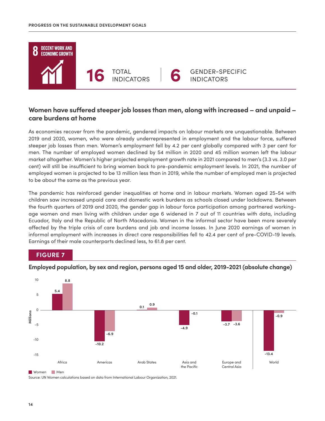

## **Women have suffered steeper job losses than men, along with increased – and unpaid – care burdens at home**

As economies recover from the pandemic, gendered impacts on labour markets are unquestionable. Between 2019 and 2020, women, who were already underrepresented in employment and the labour force, suffered steeper job losses than men. Women's employment fell by 4.2 per cent globally compared with 3 per cent for men. The number of employed women declined by 54 million in 2020 and 45 million women left the labour market altogether. Women's higher projected employment growth rate in 2021 compared to men's (3.3 vs. 3.0 per cent) will still be insufficient to bring women back to pre-pandemic employment levels. In 2021, the number of employed women is projected to be 13 million less than in 2019, while the number of employed men is projected to be about the same as the previous year.

The pandemic has reinforced gender inequalities at home and in labour markets. Women aged 25-54 with children saw increased unpaid care and domestic work burdens as schools closed under lockdowns. Between the fourth quarters of 2019 and 2020, the gender gap in labour force participation among partnered workingage women and men living with children under age 6 widened in 7 out of 11 countries with data, including Ecuador, Italy and the Republic of North Macedonia. Women in the informal sector have been more severely affected by the triple crisis of care burdens and job and income losses. In June 2020 earnings of women in informal employment with increases in direct care responsibilities fell to 42.4 per cent of pre-COVID-19 levels. Earnings of their male counterparts declined less, to 61.8 per cent.

## **FIGURE 7**



**Employed population, by sex and region, persons aged 15 and older, 2019-2021 (absolute change)**

Women Men

Source: UN Women calculations based on data from International Labour Organization, 2021.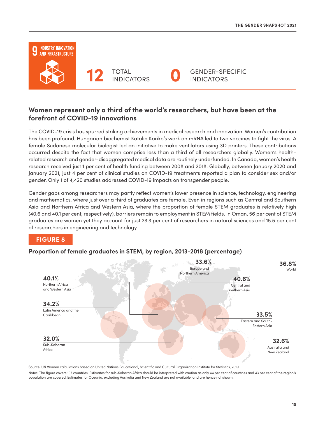

TOTAL **12** INDICATORS **0**



GENDER-SPECIFIC INDICATORS

## **Women represent only a third of the world's researchers, but have been at the forefront of COVID-19 innovations**

The COVID-19 crisis has spurred striking achievements in medical research and innovation. Women's contribution has been profound. Hungarian biochemist Katalin Kariko's work on mRNA led to two vaccines to fight the virus. A female Sudanese molecular biologist led an initiative to make ventilators using 3D printers. These contributions occurred despite the fact that women comprise less than a third of all researchers globally. Women's healthrelated research and gender-disaggregated medical data are routinely underfunded. In Canada, women's health research received just 1 per cent of health funding between 2008 and 2018. Globally, between January 2020 and January 2021, just 4 per cent of clinical studies on COVID-19 treatments reported a plan to consider sex and/or gender. Only 1 of 4,420 studies addressed COVID-19 impacts on transgender people.

Gender gaps among researchers may partly reflect women's lower presence in science, technology, engineering and mathematics, where just over a third of graduates are female. Even in regions such as Central and Southern Asia and Northern Africa and Western Asia, where the proportion of female STEM graduates is relatively high (40.6 and 40.1 per cent, respectively), barriers remain to employment in STEM fields. In Oman, 56 per cent of STEM graduates are women yet they account for just 23.3 per cent of researchers in natural sciences and 15.5 per cent of researchers in engineering and technology.

## **FIGURE 8**

## **Proportion of female graduates in STEM, by region, 2013-2018 (percentage)**



Source: UN Women calculations based on United Nations Educational, Scientific and Cultural Organization Institute for Statistics, 2019.

Notes: The figure covers 107 countries. Estimates for sub-Saharan Africa should be interpreted with caution as only 44 per cent of countries and 43 per cent of the region's population are covered. Estimates for Oceania, excluding Australia and New Zealand are not available, and are hence not shown.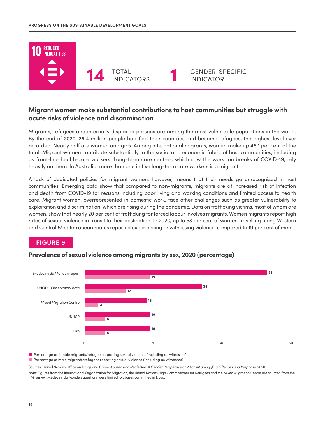

## **Migrant women make substantial contributions to host communities but struggle with acute risks of violence and discrimination**

Migrants, refugees and internally displaced persons are among the most vulnerable populations in the world. By the end of 2020, 26.4 million people had fled their countries and become refugees, the highest level ever recorded. Nearly half are women and girls. Among international migrants, women make up 48.1 per cent of the total. Migrant women contribute substantially to the social and economic fabric of host communities, including as front-line health-care workers. Long-term care centres, which saw the worst outbreaks of COVID-19, rely heavily on them. In Australia, more than one in five long-term care workers is a migrant.

A lack of dedicated policies for migrant women, however, means that their needs go unrecognized in host communities. Emerging data show that compared to non-migrants, migrants are at increased risk of infection and death from COVID-19 for reasons including poor living and working conditions and limited access to health care. Migrant women, overrepresented in domestic work, face other challenges such as greater vulnerability to exploitation and discrimination, which are rising during the pandemic. Data on trafficking victims, most of whom are women, show that nearly 20 per cent of trafficking for forced labour involves migrants. Women migrants report high rates of sexual violence in transit to their destination. In 2020, up to 53 per cent of women travelling along Western and Central Mediterranean routes reported experiencing or witnessing violence, compared to 19 per cent of men.

## **FIGURE 9**



### **Prevalence of sexual violence among migrants by sex, 2020 (percentage)**

Percentage of male migrants/refugees reporting sexual violence (including as witnesses) Percentage of female migrants/refugees reporting sexual violence (including as witnesses)

Sources: United Nations Office on Drugs and Crime, *Abused and Neglected: A Gender Perspective on Migrant Smuggling Offences and Response,* 2020.

Note: Figures from the International Organization for Migration, the United Nations High Commissioner for Refugees and the Mixed Migration Centre are sourced from the 4Mi survey; Médecins du Monde's questions were limited to abuses committed in Libya.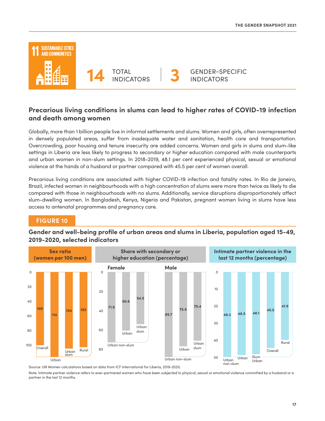

## **Precarious living conditions in slums can lead to higher rates of COVID-19 infection and death among women**

Globally, more than 1 billion people live in informal settlements and slums. Women and girls, often overrepresented in densely populated areas, suffer from inadequate water and sanitation, health care and transportation. Overcrowding, poor housing and tenure insecurity are added concerns. Women and girls in slums and slum-like settings in Liberia are less likely to progress to secondary or higher education compared with male counterparts and urban women in non-slum settings. In 2018-2019, 48.1 per cent experienced physical, sexual or emotional violence at the hands of a husband or partner compared with 45.5 per cent of women overall.

Precarious living conditions are associated with higher COVID-19 infection and fatality rates. In Rio de Janeiro, Brazil, infected women in neighbourhoods with a high concentration of slums were more than twice as likely to die compared with those in neighbourhoods with no slums. Additionally, service disruptions disproportionately affect slum-dwelling women. In Bangladesh, Kenya, Nigeria and Pakistan, pregnant women living in slums have less access to antenatal programmes and pregnancy care.

## **FIGURE 10**

## **Gender and well-being profile of urban areas and slums in Liberia, population aged 15-49, 2019-2020, selected indicators**



Source: UN Women calculations based on data from ICF International for Liberia, 2019-2020.

Note: Intimate partner violence refers to ever-partnered women who have been subjected to physical, sexual or emotional violence committed by a husband or a partner in the last 12 months.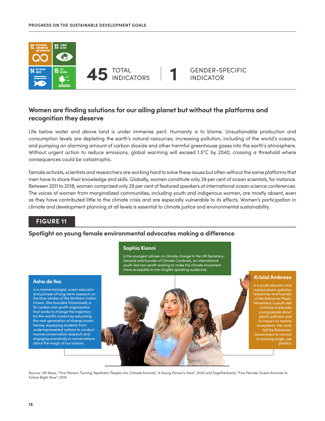

## **Women are finding solutions for our ailing planet but without the platforms and recognition they deserve**

Life below water and above land is under immense peril. Humanity is to blame. Unsustainable production and consumption levels are depleting the earth's natural resources; increasing pollution, including of the world's oceans, and pumping an alarming amount of carbon dioxide and other harmful greenhouse gases into the earth's atmosphere. Without urgent action to reduce emissions, global warming will exceed 1.5°C by 2040, crossing a threshold where consequences could be catastrophic.

Female activists, scientists and researchers are working hard to solve these issues but often without the same platforms that men have to share their knowledge and skills. Globally, women constitute only 39 per cent of ocean scientists, for instance. Between 2011 to 2018, women comprised only 29 per cent of featured speakers at international ocean science conferences. The voices of women from marginalized communities, including youth and indigenous women, are mostly absent, even as they have contributed little to the climate crisis and are especially vulnerable to its effects. Women's participation in climate and development planning at all levels is essential to climate justice and environmental sustainability.

## **FIGURE 11**

#### **Spotlight on young female environmental advocates making a difference**

#### **Sophia Kianni**

is the youngest adviser on climate change to the UN Secretary-General and founder of Climate Cardinals, an international youth-led non-profit working to make the climate movement more accessible to non-English speaking audiences.

#### **Asha de Vos**

is a marine biologist, ocean educator and pioneer of long-term research on the blue whales of the Northern Indian Ocean. She founded Oceanswell, a Sri Lankan non-profit organization that works to change the trajectory for the world's oceans by educating the next generation of diverse ocean heroes, equipping students from underrepresented nations to conduct marine conservation research and engaging everybody in conversations about the magic of our oceans.

#### **Kristal Ambrose**

is a youth educator and researcher and founder Movement, a youth-led initiative to educate young people about plastic pollution and its impact on marine ecosystems. Her work led the Bahamian to banning single-use plastics.

Source: UN News, "First Person: Turning 'Apathetic People into Climate Activists'; A Young Person's View", 2020 and Togetherband, "Five Female Ocean Activists to Follow Right Now", 2019.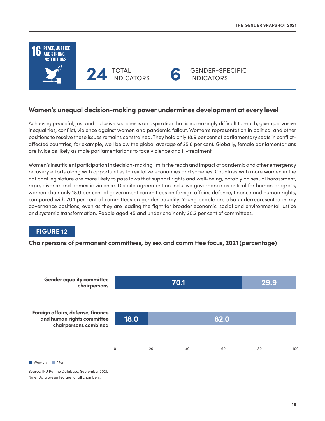

## **Women's unequal decision-making power undermines development at every level**

Achieving peaceful, just and inclusive societies is an aspiration that is increasingly difficult to reach, given pervasive inequalities, conflict, violence against women and pandemic fallout. Women's representation in political and other positions to resolve these issues remains constrained. They hold only 18.9 per cent of parliamentary seats in conflictaffected countries, for example, well below the global average of 25.6 per cent. Globally, female parliamentarians are twice as likely as male parliamentarians to face violence and ill-treatment.

Women's insufficient participation in decision-making limits the reach and impact of pandemic and other emergency recovery efforts along with opportunities to revitalize economies and societies. Countries with more women in the national legislature are more likely to pass laws that support rights and well-being, notably on sexual harassment, rape, divorce and domestic violence. Despite agreement on inclusive governance as critical for human progress, women chair only 18.0 per cent of government committees on foreign affairs, defence, finance and human rights, compared with 70.1 per cent of committees on gender equality. Young people are also underrepresented in key governance positions, even as they are leading the fight for broader economic, social and environmental justice and systemic transformation. People aged 45 and under chair only 20.2 per cent of committees.

## **FIGURE 12**

**Chairpersons of permanent committees, by sex and committee focus, 2021 (percentage)**



Women Men

Source: IPU Parline Database, September 2021. Note: Data presented are for all chambers.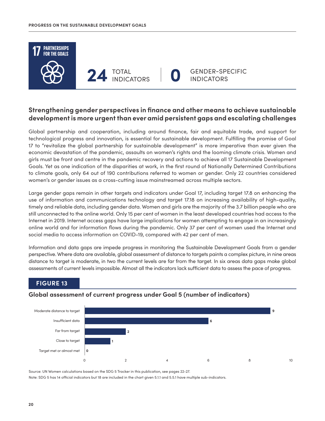

## **Strengthening gender perspectives in finance and other means to achieve sustainable development is more urgent than ever amid persistent gaps and escalating challenges**

Global partnership and cooperation, including around finance, fair and equitable trade, and support for technological progress and innovation, is essential for sustainable development. Fulfilling the promise of Goal 17 to "revitalize the global partnership for sustainable development" is more imperative than ever given the economic devastation of the pandemic, assaults on women's rights and the looming climate crisis. Women and girls must be front and centre in the pandemic recovery and actions to achieve all 17 Sustainable Development Goals. Yet as one indication of the disparities at work, in the first round of Nationally Determined Contributions to climate goals, only 64 out of 190 contributions referred to women or gender. Only 22 countries considered women's or gender issues as a cross-cutting issue mainstreamed across multiple sectors.

Large gender gaps remain in other targets and indicators under Goal 17, including target 17.8 on enhancing the use of information and communications technology and target 17.18 on increasing availability of high-quality, timely and reliable data, including gender data. Women and girls are the majority of the 3.7 billion people who are still unconnected to the online world. Only 15 per cent of women in the least developed countries had access to the Internet in 2019. Internet access gaps have large implications for women attempting to engage in an increasingly online world and for information flows during the pandemic. Only 37 per cent of women used the Internet and social media to access information on COVID-19, compared with 42 per cent of men.

Information and data gaps are impede progress in monitoring the Sustainable Development Goals from a gender perspective. Where data are available, global assessment of distance to targets paints a complex picture, in nine areas distance to target is moderate, in two the current levels are far from the target. In six areas data gaps make global assessments of current levels impossible. Almost all the indicators lack sufficient data to assess the pace of progress.

## **FIGURE 13**

## **Global assessment of current progress under Goal 5 (number of indicators)**



Source: UN Women calculations based on the SDG 5 Tracker in this publication, see pages 22-27.

Note: SDG 5 has 14 official indicators but 18 are included in the chart given 5.1.1 and 5.5.1 have multiple sub-indicators.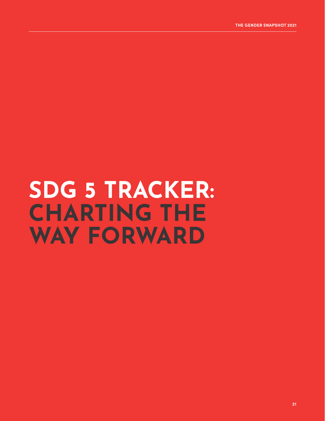# **SDG 5 TRACKER: CHARTING THE WAY FORWARD**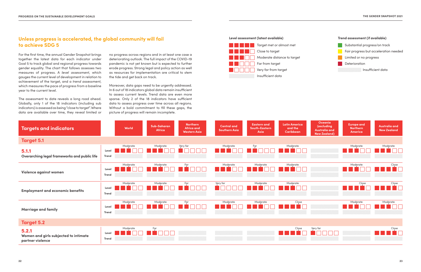## **Unless progress is accelerated, the global community will fail to achieve SDG 5**

#### **Level assessment (latest available) Trend assessment (if available)**



Insufficient data

Fair progress but acceleration needed

**Limited or no progress** 

**Deterioration** 

For the first time, the annual Gender Snapshot brings together the latest data for each indicator under Goal 5 to track global and regional progress towards gender equality. The chart that follows assesses two measures of progress. A *level assessment*, which gauges the current level of development in relation to achievement of the target, and a *trend assessment*, which measures the pace of progress from a baseline year to the current level.

The assessment to date reveals a long road ahead. Globally, only 1 of the 18 indicators (including sub indicators) is assessed as being "close to target". Where data are available over time, they reveal limited or



Substantial progress/on track

no progress across regions and in at least one case a deteriorating outlook. The full impact of the COVID-19 pandemic is not yet known but is expected to further erode progress. Strong legal and policy action as well as resources for implementation are critical to stem the tide and get back on track.

Moreover, data gaps need to be urgently addressed. In 6 out of 18 indicators global data remain insufficient to assess current levels. Trend data are even more sparse. Only 2 of the 18 indicators have sufficient data to assess progress over time across all regions. Without a bold commitment to fill these gaps, the picture of progress will remain incomplete.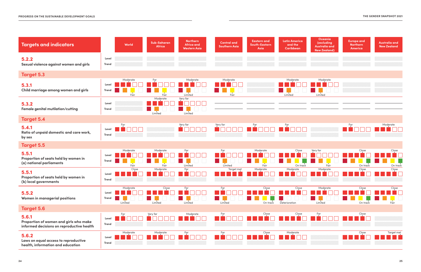

| <b>Targets and indicators</b>                                                                |                       | World               | Sub-Saharan<br>Africa | <b>Northern</b><br><b>Africa and</b><br><b>Western Asia</b> | <b>Central and</b><br><b>Southern Asia</b> | <b>Eastern and</b><br><b>South-Eastern</b><br>Asia | <b>Latin America</b><br>and the<br>Caribbean | Oceania<br>(excluding<br><b>Australia and</b><br><b>New Zealand)</b> | <b>Europe and</b><br><b>Northern</b><br>America | Australia and<br><b>New Zealand</b> |
|----------------------------------------------------------------------------------------------|-----------------------|---------------------|-----------------------|-------------------------------------------------------------|--------------------------------------------|----------------------------------------------------|----------------------------------------------|----------------------------------------------------------------------|-------------------------------------------------|-------------------------------------|
| 5.2.2<br>Sexual violence against women and girls                                             | Level<br>Trend        |                     |                       |                                                             |                                            |                                                    |                                              |                                                                      |                                                 |                                     |
| <b>Target 5.3</b>                                                                            |                       |                     |                       |                                                             |                                            |                                                    |                                              |                                                                      |                                                 |                                     |
| 5.3.1<br>Child marriage among women and girls                                                | Level<br><b>Trend</b> | Moderate<br>Fair    | Far<br>Fair           | Moderate<br>Limited                                         | Moderate<br>Fair                           |                                                    | Moderate<br>Limited                          | Moderate<br>Limited                                                  |                                                 |                                     |
| 5.3.2<br>Female genital mutilation/cutting                                                   | Level<br><b>Trend</b> |                     | Moderate<br>Limited   | Very far<br>Limited                                         |                                            |                                                    |                                              |                                                                      |                                                 |                                     |
| <b>Target 5.4</b>                                                                            |                       |                     |                       |                                                             |                                            |                                                    |                                              |                                                                      |                                                 |                                     |
| 5.4.1<br>Ratio of unpaid domestic and care work,<br>by sex                                   | Level<br><b>Trend</b> | Far                 |                       | Very far                                                    | $V$ ery far                                | $\frac{Far}{l}$                                    | Far                                          |                                                                      | Far                                             | Moderate                            |
| <b>Target 5.5</b>                                                                            |                       |                     |                       |                                                             |                                            |                                                    |                                              |                                                                      |                                                 |                                     |
| 5.5.1<br>Proportion of seats held by women in<br>(a) national parliaments                    | Level<br>Trend        | Moderate<br>Fair    | Moderate<br>Fair      | Far<br>Limited                                              | Fạr<br>H.<br>Limited                       | Moderate<br>Fair                                   | Close<br>On track                            | Very far<br>Fair                                                     | Close<br>On track                               | Close<br>On trac                    |
| 5.5.1<br>Proportion of seats held by women in<br>(b) local governments                       | Level<br>Trend        | Close               | Moderate              | Far                                                         | Target met                                 | Moderate                                           | Moderate                                     | Moderate                                                             | Close                                           | Close                               |
| 5.5.2<br>Women in managerial positions                                                       | Level<br><b>Trend</b> | Moderate<br>Limited | Close<br>Limited      | Far<br>Limited                                              | Far<br>Limited                             | Close<br>On track                                  | Close<br>Deterioration                       | Moderate<br>Limited                                                  | Close<br>On track                               | $C\nvert_{\mathbf{v}}$<br>Fair      |
| <b>Target 5.6</b>                                                                            |                       |                     |                       |                                                             |                                            |                                                    |                                              |                                                                      |                                                 |                                     |
| 5.6.1<br>Proportion of women and girls who make<br>informed decisions on reproductive health | Level<br>Trend        | Far                 | Very far              | Moderate                                                    | Far                                        | Close                                              | Close                                        | Fạr                                                                  | $\frac{Close}{1}$                               |                                     |
| 5.6.2<br>Laws on equal access to reproductive<br>health, information and education           | Level<br><b>Trend</b> | Moderate            | Moderate              | Far                                                         | Fạr                                        | Close                                              | Moderate                                     |                                                                      | Close                                           | Target met                          |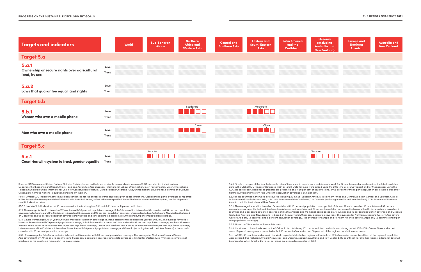| <b>Targets and indicators</b>                                         |                       | World | <b>Sub-Saharan</b><br>Africa | <b>Northern</b><br><b>Africa and</b><br><b>Western Asia</b> | <b>Central and</b><br><b>Southern Asia</b> | <b>Eastern and</b><br><b>South-Eastern</b><br>Asia | <b>Latin America</b><br>and the<br>Caribbean | Oceania<br>(excluding<br><b>Australia and</b><br><b>New Zealand)</b> | <b>Europe and</b><br><b>Northern</b><br>America | <b>Australia and</b><br><b>New Zealand</b> |
|-----------------------------------------------------------------------|-----------------------|-------|------------------------------|-------------------------------------------------------------|--------------------------------------------|----------------------------------------------------|----------------------------------------------|----------------------------------------------------------------------|-------------------------------------------------|--------------------------------------------|
| <b>Target 5.a</b>                                                     |                       |       |                              |                                                             |                                            |                                                    |                                              |                                                                      |                                                 |                                            |
| 5.a.1<br>Ownership or secure rights over agricultural<br>land, by sex | Level<br>Trend        |       |                              |                                                             |                                            |                                                    |                                              |                                                                      |                                                 |                                            |
| 5.a.2<br>Laws that guarantee equal land rights                        | Level<br>Trend        |       |                              |                                                             |                                            |                                                    |                                              |                                                                      |                                                 |                                            |
| <b>Target 5.b</b>                                                     |                       |       |                              |                                                             |                                            |                                                    |                                              |                                                                      |                                                 |                                            |
| 5.b.1<br>Women who own a mobile phone                                 | Level<br><b>Trend</b> |       |                              | Moderate                                                    |                                            | Moderate                                           |                                              |                                                                      |                                                 |                                            |
| Men who own a mobile phone                                            | Level<br><b>Trend</b> |       |                              | Close                                                       |                                            | Close                                              |                                              |                                                                      |                                                 |                                            |
| <b>Target 5.c</b>                                                     |                       |       |                              |                                                             |                                            |                                                    |                                              |                                                                      |                                                 |                                            |
| <b>5.c.1</b><br>Countries with system to track gender equality        | Level<br>Trend        |       | Very far                     |                                                             |                                            |                                                    |                                              | Very far                                                             |                                                 |                                            |

Sources: UN Women and United Nations Statistics Division, based on the latest available data and estimates as of 2021 provided by: United Nations Department of Economic and Social Affairs, Food and Agriculture Organization, International Labour Organization, Inter-Parliamentary Union, International Telecommunication Union, International Union for Conservation of Nature, United Nations Children's Fund, United Nations Educational, Scientific and Cultural Organization, United Nations Population Fund and UN Women.

Notes: Official SDG indicator names have been condensed for the purposes of this depiction given space limitations. Global and regional averages as reported in *The Sustainable Development Goals Report 2021* Statistical Annex, unless otherwise specified. For full indicator names and descriptions, see list of genderspecific indicators below.

SDG 5 has 14 official indicators but 18 are assessed in the tracker given 5.1.1 and 5.5.1 have multiple sub indicators.

5.2.1: The average for World is based on 157 countries with 90 per cent population coverage, Sub-Saharan Africa is based on 39 countries and 94 per cent population coverage, Latin America and the Caribbean is based on 26 countries and 99 per cent population coverage, Oceania (excluding Australia and New Zealand) is based on 9 countries and 96 per cent population coverage and Australia and New Zealand is based on 2 countries and 100 per cent population coverage.

5.3.1: Covers women aged 20-24 years who were married or in a union before age 18. Trend assessment uses a baseline year around 2010. The average for World is based on 98 countries with 79 per cent population coverage, Sub-Saharan Africa is based on 34 countries with 93 per cent population coverage, Northern Africa and Western Asia is based on 13 countries with 77 per cent population coverage, Central and Southern Asia is based on 11 countries with 95 per cent population coverage, Latin America and the Caribbean is based on 15 countries with 50 per cent population coverage, and Oceania (excluding Australia and New Zealand) is based on 5 countries with 89 per cent population coverage.

5.3.2: The average for Sub-Saharan Africa is based on 25 countries with 69 per cent population coverage. The average for Northern Africa and Western Asia covers Northern Africa only (2 countries and 65 per cent population coverage) since data coverage is limited for Western Asia.  $\equiv$  means estimates not produced as the practice is marginal in the given region.

5.4.1: Simple averages of the female-to-male ratio of time spent in unpaid care and domestic work for 92 countries and areas based on the latest available data in the Global SDG Indicator Database (2001 or later). Data for India were added using the 2019 time use survey report and for Madagascar using the ILO 2018 care report. Regional aggregates are presented only if 50 per cent of countries and/or 66 per cent of the region's population are covered except for Northern Africa and Western Asia where the population coverage is 65.5 per cent.

5.5.1(b): 135 countries in the world are covered including 29 in Sub-Saharan Africa, 17 in Northern Africa and Central Asia, 11 in Central and Southern Asia, 11 in Eastern and South-Eastern Asia, 21 in Latin America and the Caribbean, 7 in Oceania (excluding Australia and New Zealand), 37 in Europe and Northern America and 2 in Australia and New Zealand.

5.6.1: The average for world is based on 64 countries with 16 per cent population coverage, Sub-Saharan Africa is based on 36 countries and 97 per cent population coverage, Central and Southern Asia is based on 7 countries and 20 per cent population coverage, Eastern and South-Eastern Asia is based on 5 countries and 6 per cent population coverage and Latin America and the Caribbean is based on 7 countries and 10 per cent population coverage and Oceania (excluding Australia and New Zealand) is based on 1 country and 79 per cent population coverage. The average for Northern Africa and Western Asia covers Western Asia only (3 countries and 5 per cent population coverage). The average for Europe and Northern America covers Europe only (5 countries and 9 per cent population coverage).

5.6.2: Based on 75 countries with complete data.

5.b.1: UN Women calculation based on the SDG indicator database, 2021. Includes latest available year during period 2015-2019. Covers 89 countries and areas. Regional averages are presented only if 50 per cent of countries and 66 per cent of the region's population are covered.

5.c.1: In 2018, 69 countries and areas in the World reported data. In two regions, a threshold of 50% of countries and/or two-thirds of the regional population were covered: Sub-Saharan Africa (27 countries) and Oceania, excluding Australia and New Zealand, (10 countries). For all other regions, additional data will be presented when threshold levels of coverage are available, expected in 2022.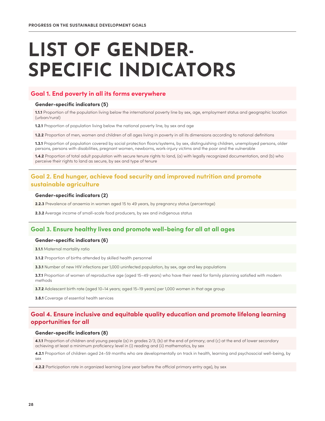# **LIST OF GENDER-SPECIFIC INDICATORS**

#### **Goal 1. End poverty in all its forms everywhere**

#### Gender-specific indicators (5)

1.1.1 Proportion of the population living below the international poverty line by sex, age, employment status and geographic location (urban/rural)

**1.2.1** Proportion of population living below the national poverty line, by sex and age

1.2.2 Proportion of men, women and children of all ages living in poverty in all its dimensions according to national definitions

1.3.1 Proportion of population covered by social protection floors/systems, by sex, distinguishing children, unemployed persons, older persons, persons with disabilities, pregnant women, newborns, work-injury victims and the poor and the vulnerable

1.4.2 Proportion of total adult population with secure tenure rights to land, (a) with legally recognized documentation, and (b) who perceive their rights to land as secure, by sex and type of tenure

## **Goal 2. End hunger, achieve food security and improved nutrition and promote sustainable agriculture**

#### Gender-specific indicators (2)

2.2.3 Prevalence of anaemia in women aged 15 to 49 years, by pregnancy status (percentage)

2.3.2 Average income of small-scale food producers, by sex and indigenous status

## **Goal 3. Ensure healthy lives and promote well-being for all at all ages**

#### Gender-specific indicators (6)

3.1.1 Maternal mortality ratio

3.1.2 Proportion of births attended by skilled health personnel

**3.3.1** Number of new HIV infections per 1,000 uninfected population, by sex, age and key populations

3.7.1 Proportion of women of reproductive age (aged 15-49 years) who have their need for family planning satisfied with modern methods

3.7.2 Adolescent birth rate (aged 10–14 years; aged 15–19 years) per 1,000 women in that age group

3.8.1 Coverage of essential health services

### **Goal 4. Ensure inclusive and equitable quality education and promote lifelong learning opportunities for all**

#### Gender-specific indicators (8)

4.1.1 Proportion of children and young people (a) in grades 2/3; (b) at the end of primary; and (c) at the end of lower secondary achieving at least a minimum proficiency level in (i) reading and (ii) mathematics, by sex

4.2.1 Proportion of children aged 24-59 months who are developmentally on track in health, learning and psychosocial well-being, by sex

4.2.2 Participation rate in organized learning (one year before the official primary entry age), by sex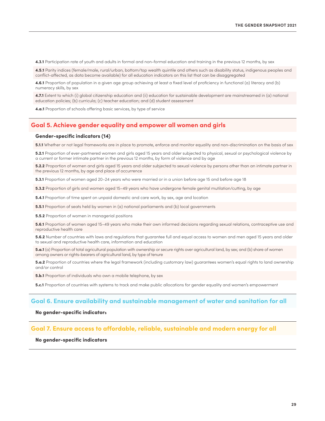4.3.1 Participation rate of youth and adults in formal and non-formal education and training in the previous 12 months, by sex

4.5.1 Parity indices (female/male, rural/urban, bottom/top wealth quintile and others such as disability status, indigenous peoples and conflict-affected, as data become available) for all education indicators on this list that can be disaggregated

4.6.1 Proportion of population in a given age group achieving at least a fixed level of proficiency in functional (a) literacy and (b) numeracy skills, by sex

4.7.1 Extent to which (i) global citizenship education and (ii) education for sustainable development are mainstreamed in (a) national education policies; (b) curricula; (c) teacher education; and (d) student assessment

4.a.1 Proportion of schools offering basic services, by type of service

#### **Goal 5. Achieve gender equality and empower all women and girls**

#### Gender-specific indicators (14)

5.1.1 Whether or not legal frameworks are in place to promote, enforce and monitor equality and non-discrimination on the basis of sex

5.2.1 Proportion of ever-partnered women and girls aged 15 years and older subjected to physical, sexual or psychological violence by a current or former intimate partner in the previous 12 months, by form of violence and by age

5.2.2 Proportion of women and girls aged 15 years and older subjected to sexual violence by persons other than an intimate partner in the previous 12 months, by age and place of occurrence

5.3.1 Proportion of women aged 20-24 years who were married or in a union before age 15 and before age 18

5.3.2 Proportion of girls and women aged 15–49 years who have undergone female genital mutilation/cutting, by age

**5.4.1** Proportion of time spent on unpaid domestic and care work, by sex, age and location

**5.5.1** Proportion of seats held by women in (a) national parliaments and (b) local governments

**5.5.2** Proportion of women in managerial positions

5.6.1 Proportion of women aged 15-49 years who make their own informed decisions regarding sexual relations, contraceptive use and reproductive health care

5.6.2 Number of countries with laws and regulations that guarantee full and equal access to women and men aged 15 years and older to sexual and reproductive health care, information and education

5.a.1 (a) Proportion of total agricultural population with ownership or secure rights over agricultural land, by sex; and (b) share of women among owners or rights-bearers of agricultural land, by type of tenure

5.a.2 Proportion of countries where the legal framework (including customary law) guarantees women's equal rights to land ownership and/or control

**5.b.1** Proportion of individuals who own a mobile telephone, by sex

**5.c.1** Proportion of countries with systems to track and make public allocations for gender equality and women's empowerment

#### **Goal 6. Ensure availability and sustainable management of water and sanitation for all**

#### No gender-specific indicator**s**

#### **Goal 7. Ensure access to affordable, reliable, sustainable and modern energy for all**

No gender-specific indicators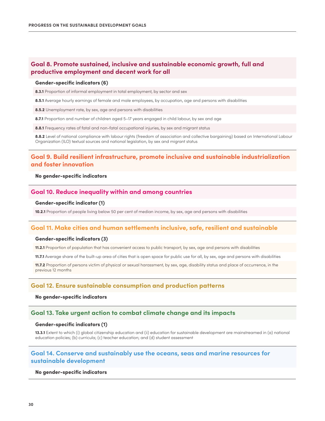## **Goal 8. Promote sustained, inclusive and sustainable economic growth, full and productive employment and decent work for all**

#### Gender-specific indicators (6)

8.3.1 Proportion of informal employment in total employment, by sector and sex

8.5.1 Average hourly earnings of female and male employees, by occupation, age and persons with disabilities

8.5.2 Unemployment rate, by sex, age and persons with disabilities

8.7.1 Proportion and number of children aged 5-17 years engaged in child labour, by sex and age

8.8.1 Frequency rates of fatal and non-fatal occupational injuries, by sex and migrant status

8.8.2 Level of national compliance with labour rights (freedom of association and collective bargaining) based on International Labour Organization (ILO) textual sources and national legislation, by sex and migrant status

### **Goal 9. Build resilient infrastructure, promote inclusive and sustainable industrialization and foster innovation**

#### No gender-specific indicators

#### **Goal 10. Reduce inequality within and among countries**

#### Gender-specific indicator (1)

10.2.1 Proportion of people living below 50 per cent of median income, by sex, age and persons with disabilities

#### **Goal 11. Make cities and human settlements inclusive, safe, resilient and sustainable**

#### Gender-specific indicators (3)

11.2.1 Proportion of population that has convenient access to public transport, by sex, age and persons with disabilities

11.7.1 Average share of the built-up area of cities that is open space for public use for all, by sex, age and persons with disabilities

11.7.2 Proportion of persons victim of physical or sexual harassment, by sex, age, disability status and place of occurrence, in the previous 12 months

#### **Goal 12. Ensure sustainable consumption and production patterns**

#### No gender-specific indicators

#### **Goal 13. Take urgent action to combat climate change and its impacts**

#### Gender-specific indicators (1)

13.3.1 Extent to which (i) global citizenship education and (ii) education for sustainable development are mainstreamed in (a) national education policies; (b) curricula; (c) teacher education; and (d) student assessment

### **Goal 14. Conserve and sustainably use the oceans, seas and marine resources for sustainable development**

#### No gender-specific indicators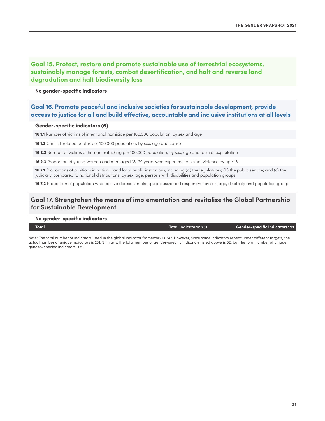## **Goal 15. Protect, restore and promote sustainable use of terrestrial ecosystems, sustainably manage forests, combat desertification, and halt and reverse land degradation and halt biodiversity loss**

#### No gender-specific indicators

## **Goal 16. Promote peaceful and inclusive societies for sustainable development, provide access to justice for all and build effective, accountable and inclusive institutions at all levels**

#### Gender-specific indicators (6)

16.1.1 Number of victims of intentional homicide per 100,000 population, by sex and age

16.1.2 Conflict-related deaths per 100,000 population, by sex, age and cause

16.2.2 Number of victims of human trafficking per 100,000 population, by sex, age and form of exploitation

16.2.3 Proportion of young women and men aged 18–29 years who experienced sexual violence by age 18

16.7.1 Proportions of positions in national and local public institutions, including (a) the legislatures; (b) the public service; and (c) the judiciary, compared to national distributions, by sex, age, persons with disabilities and population groups

16.7.2 Proportion of population who believe decision-making is inclusive and responsive, by sex, age, disability and population group

## **Goal 17. Strengtahen the means of implementation and revitalize the Global Partnership for Sustainable Development**

#### No gender-specific indicators

#### Total Total indicators: 231 Gender-specific indicators: 51

Note: The total number of indicators listed in the global indicator framework is 247. However, since some indicators repeat under different targets, the actual number of unique indicators is 231. Similarly, the total number of gender-specific indicators listed above is 52, but the total number of unique gender- specific indicators is 51.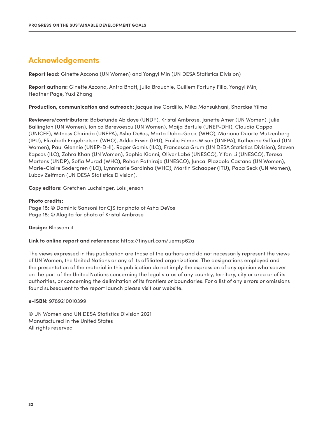## **Acknowledgements**

**Report lead:** Ginette Azcona (UN Women) and Yongyi Min (UN DESA Statistics Division)

**Report authors:** Ginette Azcona, Antra Bhatt, Julia Brauchle, Guillem Fortuny Fillo, Yongyi Min, Heather Page, Yuxi Zhang

**Production, communication and outreach:** Jacqueline Gordillo, Mika Mansukhani, Shardae Yilma

**Reviewers/contributors:** Babatunde Abidoye (UNDP), Kristal Ambrose, Janette Amer (UN Women), Julie Ballington (UN Women), Ionica Berevoescu (UN Women), Maija Bertule (UNEP-DHI), Claudia Cappa (UNICEF), Witness Chirinda (UNFPA), Asha DeVos, Marta Dobo-Gacic (WHO), Mariana Duarte Mutzenberg (IPU), Elizabeth Engebretson (WHO), Addie Erwin (IPU), Emilie Filmer-Wison (UNFPA), Katherine Gifford (UN Women), Paul Glennie (UNEP-DHI), Roger Gomis (ILO), Francesca Grum (UN DESA Statistics Division), Steven Kapsos (ILO), Zohra Khan (UN Women), Sophia Kianni, Oliver Labé (UNESCO), Yifan Li (UNESCO), Teresa Martens (UNDP), Sofia Murad (WHO), Rohan Pathiraje (UNESCO), Juncal Plazaola Castano (UN Women), Marie-Claire Sodergren (ILO), Lynnmarie Sardinha (WHO), Martin Schaaper (ITU), Papa Seck (UN Women), Lubov Zeifman (UN DESA Statistics Division).

**Copy editors:** Gretchen Luchsinger, Lois Jenson

#### **Photo credits:**

Page 18: © Dominic Sansoni for CJS for photo of Asha DeVos Page 18: © Alagita for photo of Kristal Ambrose

**Design:** [Blossom.it](https://www.blossom.it/)

**Link to online report and references:** [https://tinyurl.com/uemsp62a](https://www.unwomen.org/en/digital-library/publications/2021/09/progress-on-the-sustainable-development-goals-the-gender-snapshot-2021)

The views expressed in this publication are those of the authors and do not necessarily represent the views of UN Women, the United Nations or any of its affiliated organizations. The designations employed and the presentation of the material in this publication do not imply the expression of any opinion whatsoever on the part of the United Nations concerning the legal status of any country, territory, city or area or of its authorities, or concerning the delimitation of its frontiers or boundaries. For a list of any errors or omissions found subsequent to the report launch please visit our website.

**e-ISBN:** 9789210010399

© UN Women and UN DESA Statistics Division 2021 Manufactured in the United States All rights reserved